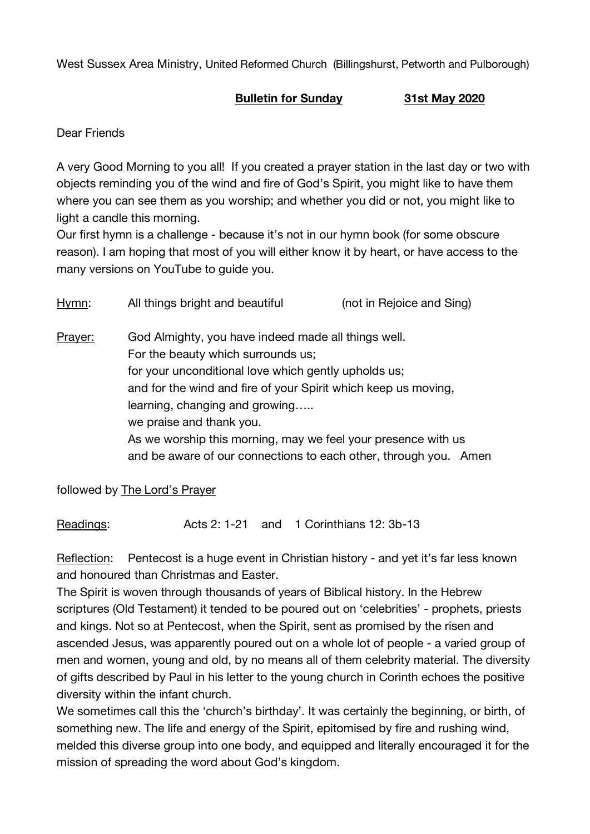West Sussex Area Ministry, United Reformed Church (Billingshurst, Petworth and Pulborough)

## **Bulletin for Sunday 31st May 2020**

Dear Friends

A very Good Morning to you all! If you created a prayer station in the last day or two with objects reminding you of the wind and fire of God's Spirit, you might like to have them where you can see them as you worship; and whether you did or not, you might like to light a candle this morning.

Our first hymn is a challenge - because it's not in our hymn book (for some obscure reason). I am hoping that most of you will either know it by heart, or have access to the many versions on YouTube to guide you.

| Hymn:   | All things bright and beautiful                                                                                                                                                                                                                                                                                                                                                                                        | (not in Rejoice and Sing) |
|---------|------------------------------------------------------------------------------------------------------------------------------------------------------------------------------------------------------------------------------------------------------------------------------------------------------------------------------------------------------------------------------------------------------------------------|---------------------------|
| Prayer: | God Almighty, you have indeed made all things well.<br>For the beauty which surrounds us;<br>for your unconditional love which gently upholds us;<br>and for the wind and fire of your Spirit which keep us moving,<br>learning, changing and growing<br>we praise and thank you.<br>As we worship this morning, may we feel your presence with us<br>and be aware of our connections to each other, through you. Amen |                           |

followed by The Lord's Prayer

Readings: Acts 2: 1-21 and 1 Corinthians 12: 3b-13

Reflection: Pentecost is a huge event in Christian history - and yet it's far less known and honoured than Christmas and Easter.

The Spirit is woven through thousands of years of Biblical history. In the Hebrew scriptures (Old Testament) it tended to be poured out on 'celebrities' - prophets, priests and kings. Not so at Pentecost, when the Spirit, sent as promised by the risen and ascended Jesus, was apparently poured out on a whole lot of people - a varied group of men and women, young and old, by no means all of them celebrity material. The diversity of gifts described by Paul in his letter to the young church in Corinth echoes the positive diversity within the infant church.

We sometimes call this the 'church's birthday'. It was certainly the beginning, or birth, of something new. The life and energy of the Spirit, epitomised by fire and rushing wind, melded this diverse group into one body, and equipped and literally encouraged it for the mission of spreading the word about God's kingdom.